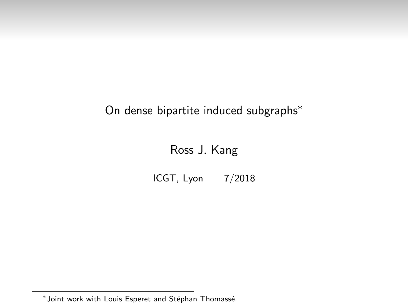## On dense bipartite induced subgraphs<sup>∗</sup>

### Ross J. Kang

ICGT, Lyon 7/2018

<sup>\*</sup> Joint work with Louis Esperet and Stéphan Thomassé.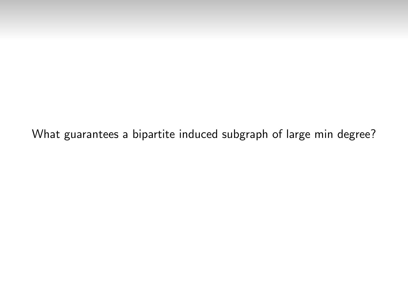What guarantees a bipartite induced subgraph of large min degree?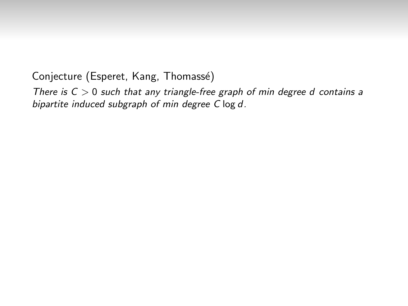There is  $C > 0$  such that any triangle-free graph of min degree d contains a bipartite induced subgraph of min degree C log d.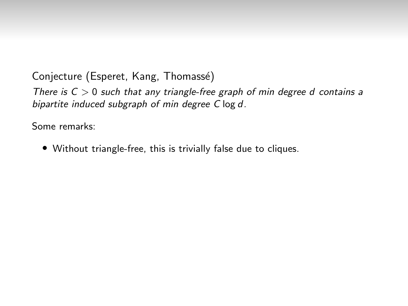There is  $C > 0$  such that any triangle-free graph of min degree d contains a bipartite induced subgraph of min degree C log d.

Some remarks:

• Without triangle-free, this is trivially false due to cliques.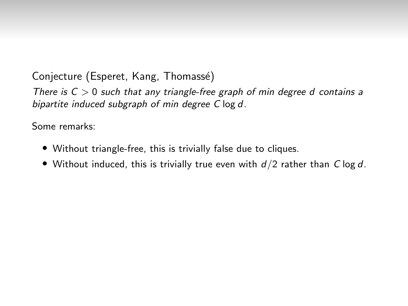There is  $C > 0$  such that any triangle-free graph of min degree d contains a bipartite induced subgraph of min degree C log d.

- Without triangle-free, this is trivially false due to cliques.
- Without induced, this is trivially true even with  $d/2$  rather than C log d.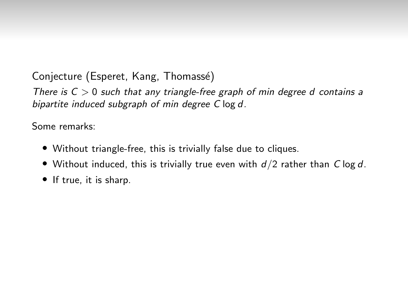There is  $C > 0$  such that any triangle-free graph of min degree d contains a bipartite induced subgraph of min degree C log d.

- Without triangle-free, this is trivially false due to cliques.
- Without induced, this is trivially true even with  $d/2$  rather than C log d.
- If true, it is sharp.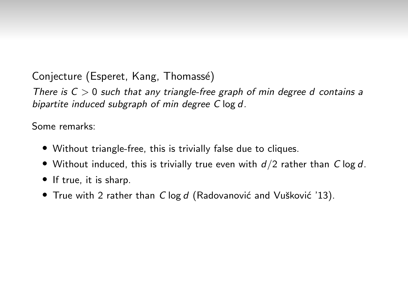There is  $C > 0$  such that any triangle-free graph of min degree d contains a bipartite induced subgraph of min degree C log d.

- Without triangle-free, this is trivially false due to cliques.
- Without induced, this is trivially true even with  $d/2$  rather than C log d.
- If true, it is sharp.
- True with 2 rather than  $C \log d$  (Radovanović and Vušković '13).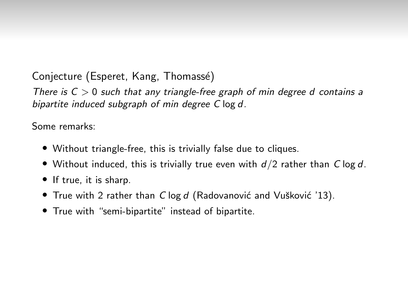There is  $C > 0$  such that any triangle-free graph of min degree d contains a bipartite induced subgraph of min degree C log d.

- Without triangle-free, this is trivially false due to cliques.
- Without induced, this is trivially true even with  $d/2$  rather than C log d.
- If true, it is sharp.
- True with 2 rather than  $C \log d$  (Radovanović and Vušković '13).
- True with "semi-bipartite" instead of bipartite.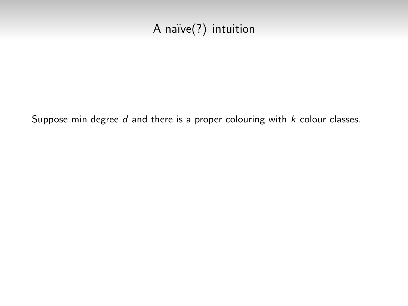# A naïve(?) intuition

Suppose min degree  $d$  and there is a proper colouring with  $k$  colour classes.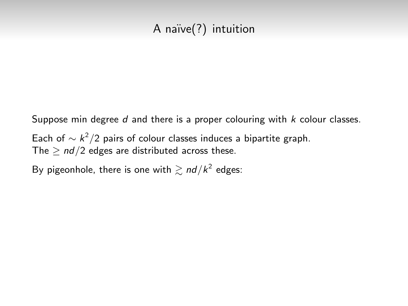## A naïve(?) intuition

Suppose min degree  $d$  and there is a proper colouring with  $k$  colour classes.

Each of  $\sim k^2/2$  pairs of colour classes induces a bipartite graph. The  $> nd/2$  edges are distributed across these.

By pigeonhole, there is one with  $\gtrsim$   $nd/k^2$  edges: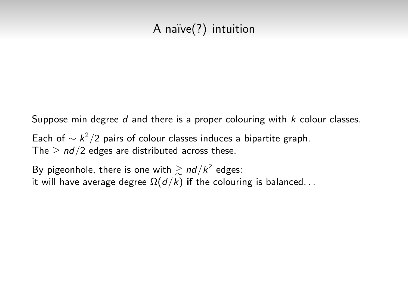# A naïve(?) intuition

Suppose min degree  $d$  and there is a proper colouring with  $k$  colour classes.

Each of  $\sim k^2/2$  pairs of colour classes induces a bipartite graph. The  $> nd/2$  edges are distributed across these.

By pigeonhole, there is one with  $\gtrsim$   $nd/k^2$  edges: it will have average degree  $\Omega(d/k)$  if the colouring is balanced...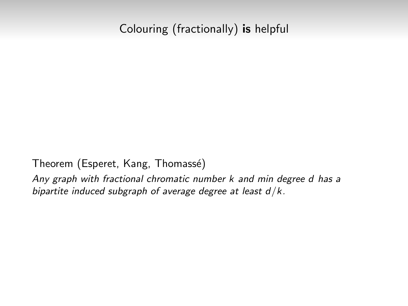### Colouring (fractionally) is helpful

Theorem (Esperet, Kang, Thomassé)

Any graph with fractional chromatic number k and min degree d has a bipartite induced subgraph of average degree at least  $d/k$ .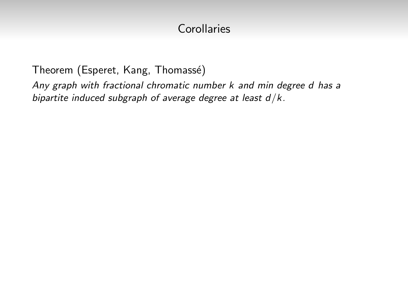Theorem (Esperet, Kang, Thomassé)

Any graph with fractional chromatic number k and min degree d has a bipartite induced subgraph of average degree at least  $d/k$ .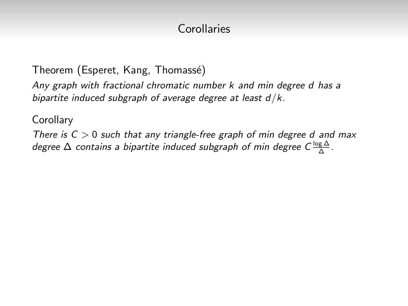Theorem (Esperet, Kang, Thomassé)

Any graph with fractional chromatic number k and min degree d has a bipartite induced subgraph of average degree at least  $d/k$ .

**Corollary** 

There is  $C > 0$  such that any triangle-free graph of min degree d and max degree  $\Delta$  contains a bipartite induced subgraph of min degree C $\frac{\log \Delta}{\Delta}$ .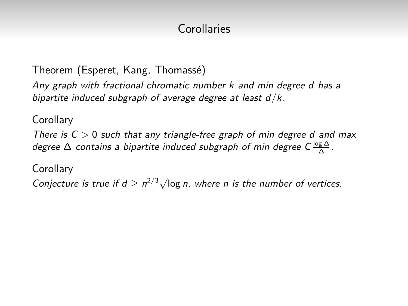Theorem (Esperet, Kang, Thomassé)

Any graph with fractional chromatic number k and min degree d has a bipartite induced subgraph of average degree at least  $d/k$ .

**Corollary** 

There is  $C > 0$  such that any triangle-free graph of min degree d and max degree  $\Delta$  contains a bipartite induced subgraph of min degree C $\frac{\log \Delta}{\Delta}$ .

**Corollary** 

Conjecture is true if  $d \geq n^{2/3} \sqrt{\log n}$ , where n is the number of vertices.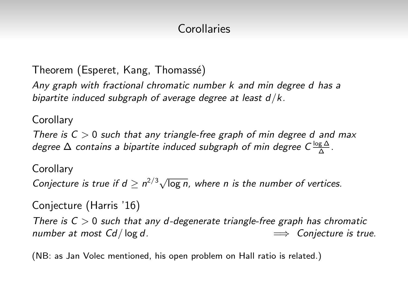Theorem (Esperet, Kang, Thomassé)

Any graph with fractional chromatic number k and min degree d has a bipartite induced subgraph of average degree at least  $d/k$ .

**Corollary** 

There is  $C > 0$  such that any triangle-free graph of min degree d and max degree  $\Delta$  contains a bipartite induced subgraph of min degree C $\frac{\log \Delta}{\Delta}$ .

**Corollary** 

Conjecture is true if  $d \geq n^{2/3} \sqrt{\log n}$ , where n is the number of vertices.

Conjecture (Harris '16)

There is  $C > 0$  such that any d-degenerate triangle-free graph has chromatic number at most  $Cd / log d$ .  $\implies$  Conjecture is true.

(NB: as Jan Volec mentioned, his open problem on Hall ratio is related.)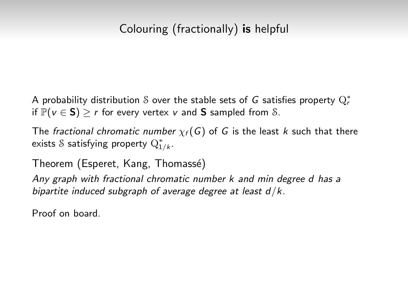## Colouring (fractionally) is helpful

A probability distribution  ${\mathcal S}$  over the stable sets of  $G$  satisfies property  ${\mathrm Q}_r^*$ if  $\mathbb{P}(\nu \in S)$  > r for every vertex v and S sampled from S.

The fractional chromatic number  $\chi_f(G)$  of G is the least k such that there exists  $\mathcal S$  satisfying property  $\mathrm{Q}^*_{1/k}.$ 

Theorem (Esperet, Kang, Thomassé)

Any graph with fractional chromatic number k and min degree d has a bipartite induced subgraph of average degree at least  $d/k$ .

Proof on board.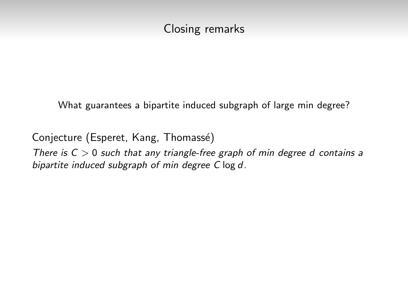### Closing remarks

What guarantees a bipartite induced subgraph of large min degree?

Conjecture (Esperet, Kang, Thomassé)

There is  $C > 0$  such that any triangle-free graph of min degree d contains a bipartite induced subgraph of min degree C log d.